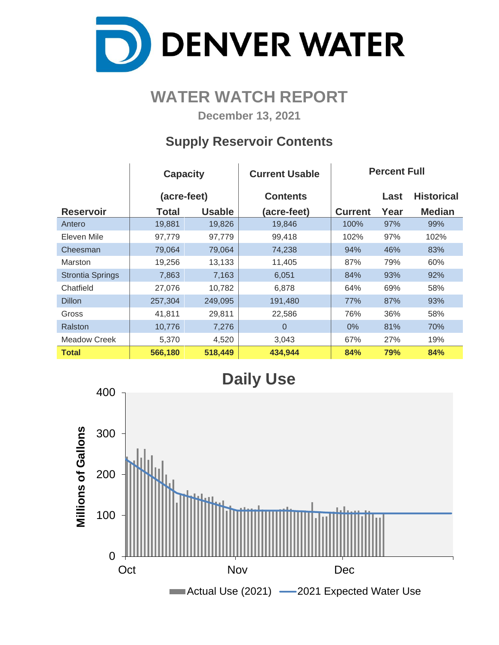

# **WATER WATCH REPORT**

**December 13, 2021**

## **Supply Reservoir Contents**

|                         | <b>Capacity</b> |               | <b>Current Usable</b> | <b>Percent Full</b> |      |                   |  |  |  |
|-------------------------|-----------------|---------------|-----------------------|---------------------|------|-------------------|--|--|--|
|                         | (acre-feet)     |               | <b>Contents</b>       |                     | Last | <b>Historical</b> |  |  |  |
| <b>Reservoir</b>        | Total           | <b>Usable</b> | (acre-feet)           | <b>Current</b>      | Year | <b>Median</b>     |  |  |  |
| Antero                  | 19,881          | 19,826        | 19,846                | 100%                | 97%  | 99%               |  |  |  |
| Eleven Mile             | 97,779          | 97,779        | 99,418                | 102%                | 97%  | 102%              |  |  |  |
| Cheesman                | 79,064          | 79,064        | 74,238                | 94%                 | 46%  | 83%               |  |  |  |
| Marston                 | 19,256          | 13,133        | 11,405                | 87%                 | 79%  | 60%               |  |  |  |
| <b>Strontia Springs</b> | 7,863           | 7,163         | 6,051                 | 84%                 | 93%  | 92%               |  |  |  |
| Chatfield               | 27,076          | 10,782        | 6,878                 | 64%                 | 69%  | 58%               |  |  |  |
| <b>Dillon</b>           | 257,304         | 249,095       | 191,480               | 77%                 | 87%  | 93%               |  |  |  |
| Gross                   | 41,811          | 29,811        | 22,586                | 76%                 | 36%  | 58%               |  |  |  |
| Ralston                 | 10,776          | 7,276         | $\Omega$              | $0\%$               | 81%  | 70%               |  |  |  |
| <b>Meadow Creek</b>     | 5,370           | 4,520         | 3,043                 | 67%                 | 27%  | 19%               |  |  |  |
| <b>Total</b>            | 566,180         | 518,449       | 434,944               | 84%                 | 79%  | 84%               |  |  |  |

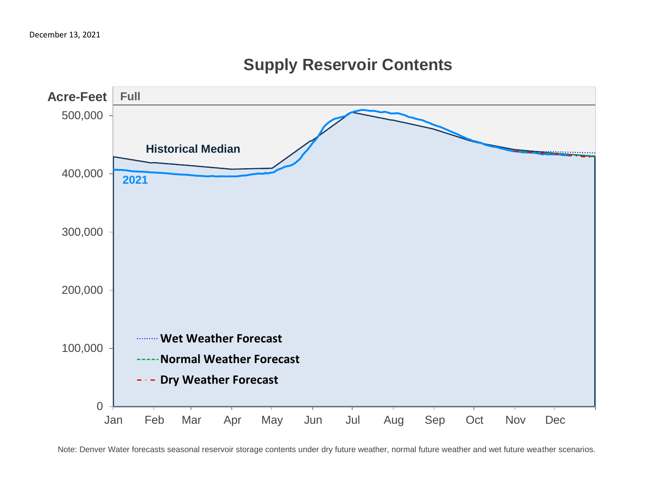# 0 100,000 200,000 300,000 400,000 500,000 Jan Feb Mar Apr May Jun Jul Aug Sep Oct Nov Dec **Acre-Feet Wet Weather Forecast Normal Weather Forecast Dry Weather Forecast 2021 Historical Median Full**

# **Supply Reservoir Contents**

Note: Denver Water forecasts seasonal reservoir storage contents under dry future weather, normal future weather and wet future weather scenarios.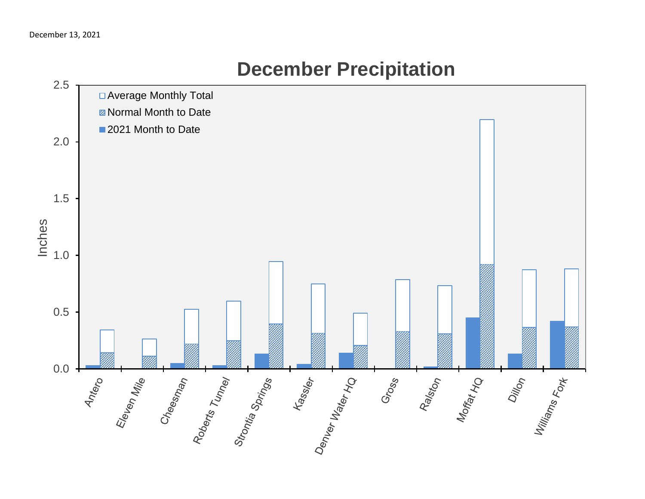

# **December Precipitation**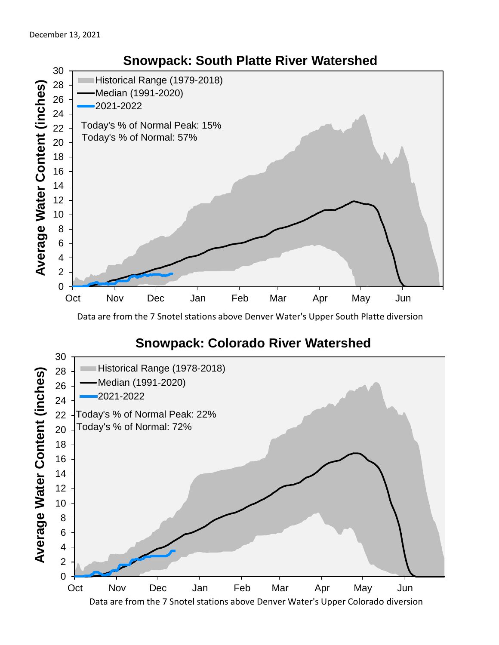

Data are from the 7 Snotel stations above Denver Water's Upper South Platte diversion

### **Snowpack: Colorado River Watershed**

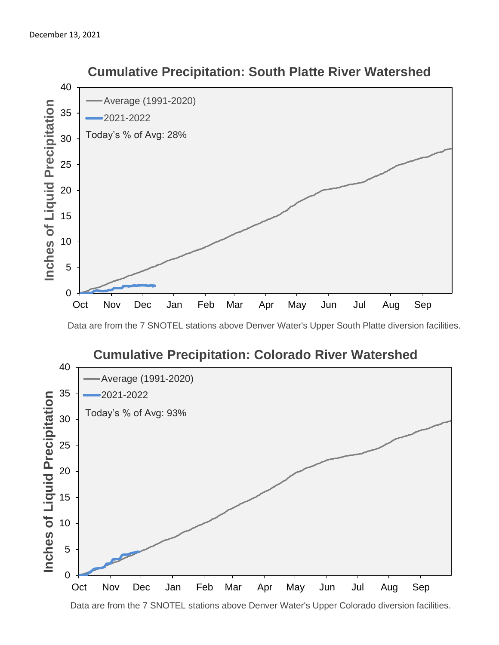

#### **Cumulative Precipitation: South Platte River Watershed**

Data are from the 7 SNOTEL stations above Denver Water's Upper South Platte diversion facilities.



Data are from the 7 SNOTEL stations above Denver Water's Upper Colorado diversion facilities.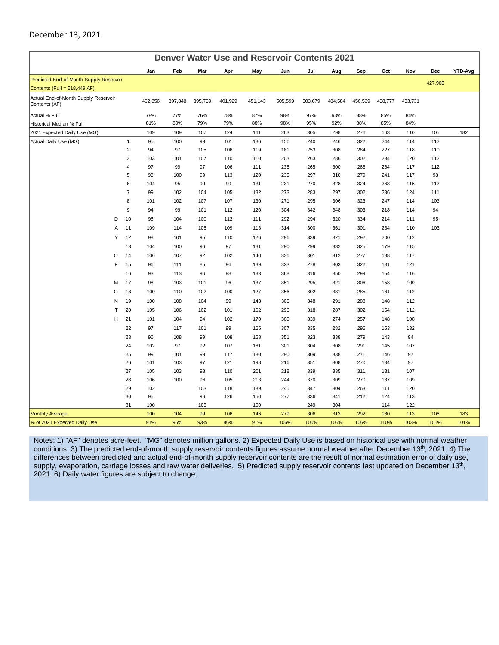#### December 13, 2021

| <b>Denver Water Use and Reservoir Contents 2021</b>   |                     |           |           |           |           |            |            |            |            |            |            |            |            |         |
|-------------------------------------------------------|---------------------|-----------|-----------|-----------|-----------|------------|------------|------------|------------|------------|------------|------------|------------|---------|
|                                                       |                     | Jan       | Feb       | Mar       | Apr       | May        | Jun        | Jul        | Aug        | Sep        | Oct        | Nov        | Dec        | YTD-Avg |
| Predicted End-of-Month Supply Reservoir               |                     |           |           |           |           |            |            |            |            |            |            |            | 427,900    |         |
| Contents (Full = 518,449 AF)                          |                     |           |           |           |           |            |            |            |            |            |            |            |            |         |
| Actual End-of-Month Supply Reservoir<br>Contents (AF) |                     | 402,356   | 397,848   | 395,709   | 401,929   | 451,143    | 505,599    | 503,679    | 484,584    | 456,539    | 438,777    | 433,731    |            |         |
| Actual % Full                                         |                     | 78%       | 77%       | 76%       | 78%       | 87%        | 98%        | 97%        | 93%        | 88%        | 85%        | 84%        |            |         |
| Historical Median % Full                              |                     | 81%       | 80%       | 79%       | 79%       | 88%        | 98%        | 95%        | 92%        | 88%        | 85%        | 84%        |            |         |
| 2021 Expected Daily Use (MG)                          |                     | 109       | 109       | 107       | 124       | 161        | 263        | 305        | 298        | 276        | 163        | 110        | 105        | 182     |
| Actual Daily Use (MG)                                 | $\mathbf{1}$        | 95        | 100       | 99        | 101       | 136        | 156        | 240        | 246        | 322        | 244        | 114        | 112        |         |
|                                                       | $\overline{2}$      | 94        | 97        | 105       | 106       | 119        | 181        | 253        | 308        | 284        | 227        | 118        | 110        |         |
|                                                       | 3                   | 103       | 101       | 107       | 110       | 110        | 203        | 263        | 286        | 302        | 234        | 120        | 112        |         |
|                                                       | $\overline{4}$      | 97        | 99        | 97        | 106       | 111        | 235        | 265        | 300        | 268        | 264        | 117        | 112        |         |
|                                                       | 5                   | 93        | 100       | 99        | 113<br>99 | 120        | 235        | 297        | 310        | 279        | 241        | 117        | 98         |         |
|                                                       | 6<br>$\overline{7}$ | 104<br>99 | 95<br>102 | 99<br>104 | 105       | 131<br>132 | 231<br>273 | 270<br>283 | 328<br>297 | 324<br>302 | 263<br>236 | 115<br>124 | 112<br>111 |         |
|                                                       | 8                   | 101       | 102       | 107       | 107       | 130        | 271        | 295        | 306        | 323        | 247        | 114        | 103        |         |
|                                                       | 9                   | 94        | 99        | 101       | 112       | 120        | 304        | 342        | 348        | 303        | 218        | 114        | 94         |         |
| D                                                     | 10                  | 96        | 104       | 100       | 112       | 111        | 292        | 294        | 320        | 334        | 214        | 111        | 95         |         |
| A                                                     | 11                  | 109       | 114       | 105       | 109       | 113        | 314        | 300        | 361        | 301        | 234        | 110        | 103        |         |
| Υ                                                     | 12                  | 98        | 101       | 95        | 110       | 126        | 296        | 339        | 321        | 292        | 200        | 112        |            |         |
|                                                       | 13                  | 104       | 100       | 96        | 97        | 131        | 290        | 299        | 332        | 325        | 179        | 115        |            |         |
| O                                                     | 14                  | 106       | 107       | 92        | 102       | 140        | 336        | 301        | 312        | 277        | 188        | 117        |            |         |
| F                                                     | 15                  | 96        | 111       | 85        | 96        | 139        | 323        | 278        | 303        | 322        | 131        | 121        |            |         |
|                                                       | 16                  | 93        | 113       | 96        | 98        | 133        | 368        | 316        | 350        | 299        | 154        | 116        |            |         |
| M                                                     | 17                  | 98        | 103       | 101       | 96        | 137        | 351        | 295        | 321        | 306        | 153        | 109        |            |         |
| O                                                     | 18                  | 100       | 110       | 102       | 100       | 127        | 356        | 302        | 331        | 285        | 161        | 112        |            |         |
| N                                                     | 19                  | 100       | 108       | 104       | 99        | 143        | 306        | 348        | 291        | 288        | 148        | 112        |            |         |
| T                                                     | 20                  | 105       | 106       | 102       | 101       | 152        | 295        | 318        | 287        | 302        | 154        | 112        |            |         |
| н                                                     | 21                  | 101       | 104       | 94        | 102       | 170        | 300        | 339        | 274        | 257        | 148        | 108        |            |         |
|                                                       | 22                  | 97        | 117       | 101       | 99        | 165        | 307        | 335        | 282        | 296        | 153        | 132        |            |         |
|                                                       | 23                  | 96        | 108       | 99        | 108       | 158        | 351        | 323        | 338        | 279        | 143        | 94         |            |         |
|                                                       | 24                  | 102       | 97        | 92        | 107       | 181        | 301        | 304        | 308        | 291        | 145        | 107        |            |         |
|                                                       | 25                  | 99        | 101       | 99        | 117       | 180        | 290        | 309        | 338        | 271        | 146        | 97         |            |         |
|                                                       | 26                  | 101       | 103       | 97        | 121       | 198        | 216        | 351        | 308        | 270        | 134        | 97         |            |         |
|                                                       | 27                  | 105       | 103       | 98        | 110       | 201        | 218        | 339        | 335        | 311        | 131        | 107        |            |         |
|                                                       | 28                  | 106       | 100       | 96        | 105       | 213        | 244        | 370        | 309        | 270        | 137        | 109        |            |         |
|                                                       | 29                  | 102       |           | 103       | 118       | 189        | 241        | 347        | 304        | 263        | 111        | 120        |            |         |
|                                                       | 30                  | 95        |           | 96        | 126       | 150        | 277        | 336        | 341        | 212        | 124        | 113        |            |         |
|                                                       | 31                  | 100       |           | 103       |           | 160        |            | 249        | 304        |            | 114        | 122        |            |         |
| <b>Monthly Average</b>                                |                     | 100       | 104       | 99        | 106       | 146        | 279        | 306        | 313        | 292        | 180        | 113        | 106        | 183     |
| % of 2021 Expected Daily Use                          |                     | 91%       | 95%       | 93%       | 86%       | 91%        | 106%       | 100%       | 105%       | 106%       | 110%       | 103%       | 101%       | 101%    |

Notes: 1) "AF" denotes acre-feet. "MG" denotes million gallons. 2) Expected Daily Use is based on historical use with normal weather conditions. 3) The predicted end-of-month supply reservoir contents figures assume normal weather after December 13<sup>th</sup>, 2021. 4) The differences between predicted and actual end-of-month supply reservoir contents are the result of normal estimation error of daily use, supply, evaporation, carriage losses and raw water deliveries. 5) Predicted supply reservoir contents last updated on December 13<sup>th</sup>, 2021. 6) Daily water figures are subject to change.